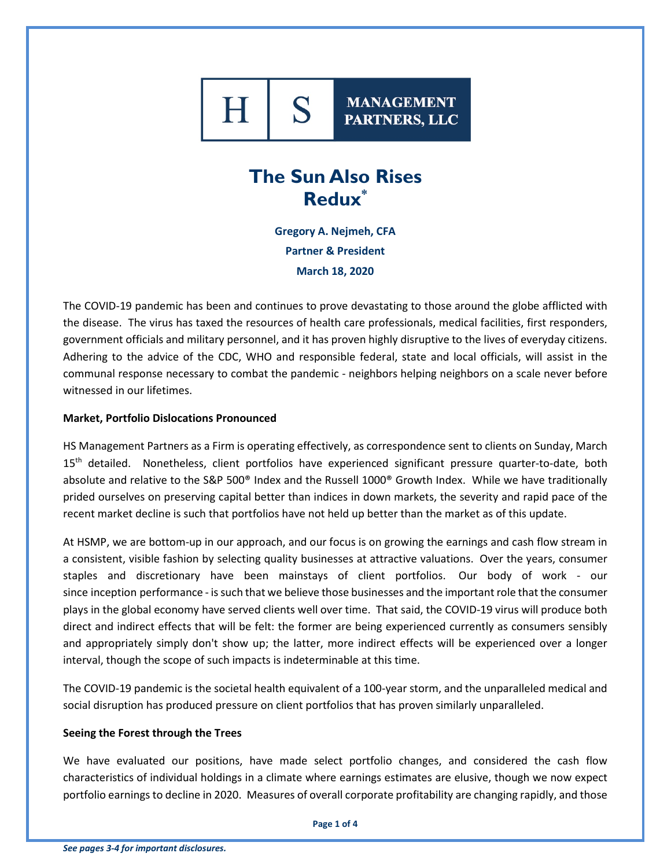

**MANAGEMENT** PARTNERS, LLC

# **The Sun Also Rises Redux\***

**Gregory A. Nejmeh, CFA Partner & President March 18, 2020**

The COVID-19 pandemic has been and continues to prove devastating to those around the globe afflicted with the disease. The virus has taxed the resources of health care professionals, medical facilities, first responders, government officials and military personnel, and it has proven highly disruptive to the lives of everyday citizens. Adhering to the advice of the CDC, WHO and responsible federal, state and local officials, will assist in the communal response necessary to combat the pandemic - neighbors helping neighbors on a scale never before witnessed in our lifetimes.

## **Market, Portfolio Dislocations Pronounced**

HS Management Partners as a Firm is operating effectively, as correspondence sent to clients on Sunday, March 15<sup>th</sup> detailed. Nonetheless, client portfolios have experienced significant pressure quarter-to-date, both absolute and relative to the S&P 500® Index and the Russell 1000® Growth Index. While we have traditionally prided ourselves on preserving capital better than indices in down markets, the severity and rapid pace of the recent market decline is such that portfolios have not held up better than the market as of this update.

At HSMP, we are bottom-up in our approach, and our focus is on growing the earnings and cash flow stream in a consistent, visible fashion by selecting quality businesses at attractive valuations. Over the years, consumer staples and discretionary have been mainstays of client portfolios. Our body of work - our since inception performance - is such that we believe those businesses and the important role that the consumer plays in the global economy have served clients well over time. That said, the COVID-19 virus will produce both direct and indirect effects that will be felt: the former are being experienced currently as consumers sensibly and appropriately simply don't show up; the latter, more indirect effects will be experienced over a longer interval, though the scope of such impacts is indeterminable at this time.

The COVID-19 pandemic is the societal health equivalent of a 100-year storm, and the unparalleled medical and social disruption has produced pressure on client portfolios that has proven similarly unparalleled.

### **Seeing the Forest through the Trees**

We have evaluated our positions, have made select portfolio changes, and considered the cash flow characteristics of individual holdings in a climate where earnings estimates are elusive, though we now expect portfolio earnings to decline in 2020. Measures of overall corporate profitability are changing rapidly, and those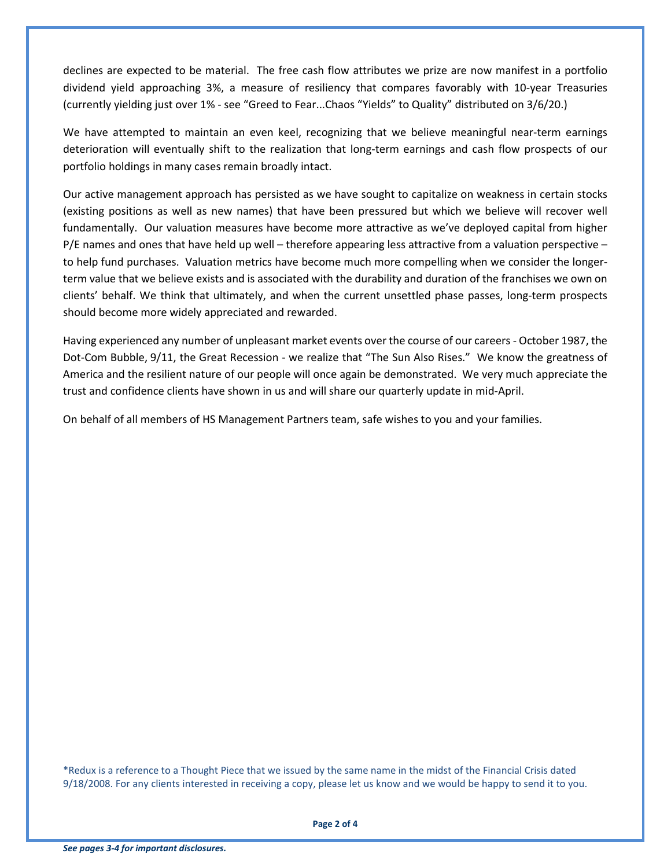declines are expected to be material. The free cash flow attributes we prize are now manifest in a portfolio dividend yield approaching 3%, a measure of resiliency that compares favorably with 10-year Treasuries (currently yielding just over 1% - see "Greed to Fear...Chaos "Yields" to Quality" distributed on 3/6/20.)

We have attempted to maintain an even keel, recognizing that we believe meaningful near-term earnings deterioration will eventually shift to the realization that long-term earnings and cash flow prospects of our portfolio holdings in many cases remain broadly intact.

Our active management approach has persisted as we have sought to capitalize on weakness in certain stocks (existing positions as well as new names) that have been pressured but which we believe will recover well fundamentally. Our valuation measures have become more attractive as we've deployed capital from higher P/E names and ones that have held up well – therefore appearing less attractive from a valuation perspective – to help fund purchases. Valuation metrics have become much more compelling when we consider the longerterm value that we believe exists and is associated with the durability and duration of the franchises we own on clients' behalf. We think that ultimately, and when the current unsettled phase passes, long-term prospects should become more widely appreciated and rewarded.

Having experienced any number of unpleasant market events over the course of our careers - October 1987, the Dot-Com Bubble, 9/11, the Great Recession - we realize that "The Sun Also Rises." We know the greatness of America and the resilient nature of our people will once again be demonstrated. We very much appreciate the trust and confidence clients have shown in us and will share our quarterly update in mid-April.

On behalf of all members of HS Management Partners team, safe wishes to you and your families.

\*Redux is a reference to a Thought Piece that we issued by the same name in the midst of the Financial Crisis dated 9/18/2008. For any clients interested in receiving a copy, please let us know and we would be happy to send it to you.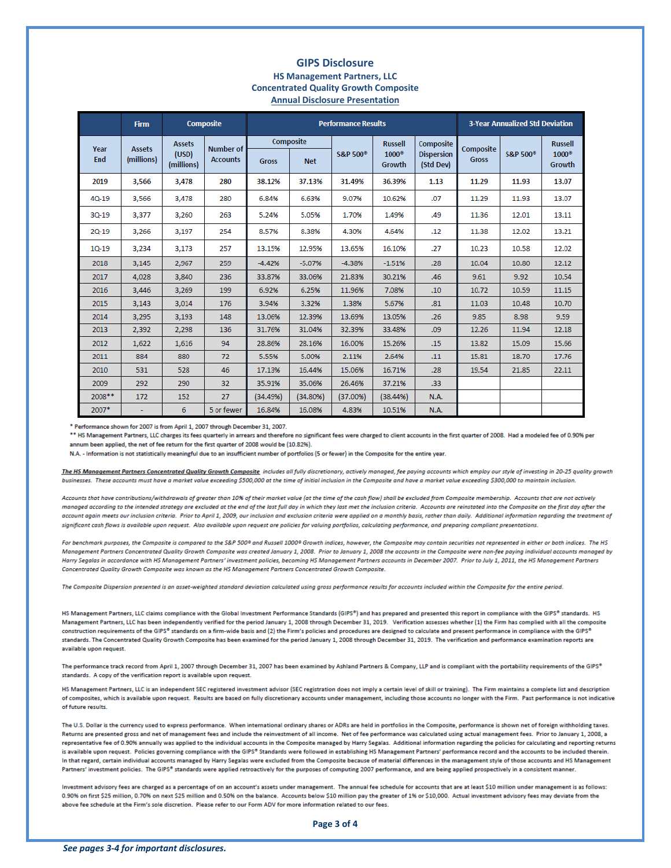#### **GIPS Disclosure HS Management Partners, LLC Concentrated Quality Growth Composite Annual Disclosure Presentation**

|             | <b>Firm</b>                 | <b>Composite</b>                     |                                     | <b>Performance Results</b> |            |                      |                        |                                | <b>3-Year Annualized Std Deviation</b> |                      |                        |
|-------------|-----------------------------|--------------------------------------|-------------------------------------|----------------------------|------------|----------------------|------------------------|--------------------------------|----------------------------------------|----------------------|------------------------|
| Year<br>End | <b>Assets</b><br>(millions) | <b>Assets</b><br>(USD)<br>(millions) | <b>Number of</b><br><b>Accounts</b> | Composite                  |            |                      | <b>Russell</b>         | Composite                      | Composite                              |                      | <b>Russell</b>         |
|             |                             |                                      |                                     | <b>Gross</b>               | <b>Net</b> | S&P 500 <sup>°</sup> | $1000^\circ$<br>Growth | <b>Dispersion</b><br>(Std Dev) | <b>Gross</b>                           | S&P 500 <sup>®</sup> | $1000^\circ$<br>Growth |
| 2019        | 3,566                       | 3,478                                | 280                                 | 38.12%                     | 37.13%     | 31.49%               | 36.39%                 | 1.13                           | 11.29                                  | 11.93                | 13.07                  |
| $40 - 19$   | 3,566                       | 3,478                                | 280                                 | 6.84%                      | 6.63%      | 9.07%                | 10.62%                 | .07                            | 11.29                                  | 11.93                | 13.07                  |
| $3Q-19$     | 3,377                       | 3,260                                | 263                                 | 5.24%                      | 5.05%      | 1.70%                | 1.49%                  | .49                            | 11.36                                  | 12.01                | 13.11                  |
| $2Q-19$     | 3,266                       | 3,197                                | 254                                 | 8.57%                      | 8.38%      | 4.30%                | 4.64%                  | .12                            | 11.38                                  | 12.02                | 13.21                  |
| $10 - 19$   | 3,234                       | 3,173                                | 257                                 | 13.15%                     | 12.95%     | 13.65%               | 16,10%                 | .27                            | 10.23                                  | 10.58                | 12.02                  |
| 2018        | 3,145                       | 2,967                                | 259                                 | $-4.42%$                   | $-5.07%$   | $-4.38%$             | $-1.51%$               | .28                            | 10.04                                  | 10.80                | 12.12                  |
| 2017        | 4,028                       | 3,840                                | 236                                 | 33.87%                     | 33.06%     | 21.83%               | 30.21%                 | .46                            | 9.61                                   | 9.92                 | 10.54                  |
| 2016        | 3,446                       | 3.269                                | 199                                 | 6.92%                      | 6.25%      | 11.96%               | 7.08%                  | .10                            | 10.72                                  | 10.59                | 11.15                  |
| 2015        | 3.143                       | 3.014                                | 176                                 | 3.94%                      | 3.32%      | 1.38%                | 5.67%                  | .81                            | 11.03                                  | 10.48                | 10.70                  |
| 2014        | 3,295                       | 3,193                                | 148                                 | 13.06%                     | 12.39%     | 13.69%               | 13.05%                 | .26                            | 9.85                                   | 8.98                 | 9.59                   |
| 2013        | 2,392                       | 2,298                                | 136                                 | 31.76%                     | 31.04%     | 32.39%               | 33.48%                 | .09                            | 12.26                                  | 11.94                | 12.18                  |
| 2012        | 1,622                       | 1.616                                | 94                                  | 28.86%                     | 28.16%     | 16.00%               | 15.26%                 | .15                            | 13.82                                  | 15.09                | 15.66                  |
| 2011        | 884                         | 880                                  | 72                                  | 5.55%                      | 5.00%      | 2.11%                | 2.64%                  | .11                            | 15.81                                  | 18.70                | 17.76                  |
| 2010        | 531                         | 528                                  | 46                                  | 17.13%                     | 16,44%     | 15.06%               | 16.71%                 | .28                            | 19.54                                  | 21.85                | 22.11                  |
| 2009        | 292                         | 290                                  | 32                                  | 35.91%                     | 35.06%     | 26.46%               | 37.21%                 | .33                            |                                        |                      |                        |
| $2008**$    | 172                         | 152                                  | 27                                  | (34.49%)                   | (34.80%)   | (37.00%              | (38.44%)               | N.A.                           |                                        |                      |                        |
| 2007*       |                             | 6                                    | 5 or fewer                          | 16.84%                     | 16.08%     | 4.83%                | 10.51%                 | N.A.                           |                                        |                      |                        |

\* Performance shown for 2007 is from April 1, 2007 through December 31, 2007.

\*\* HS Management Partners, LLC charges its fees quarterly in arrears and therefore no significant fees were charged to client accounts in the first quarter of 2008. Had a modeled fee of 0.90% per annum been applied, the net of fee return for the first quarter of 2008 would be (10.82%).

N.A. - Information is not statistically meaningful due to an insufficient number of portfolios (5 or fewer) in the Composite for the entire year.

The HS Management Partners Concentrated Quality Growth Composite includes all fully discretionary, actively managed, fee paying accounts which employ our style of investing in 20-25 quality growth businesses. These accounts must have a market value exceeding \$500,000 at the time of initial inclusion in the Composite and have a market value exceeding \$300,000 to maintain inclusion.

Accounts that have contributions/withdrawals of greater than 10% of their market value (at the time of the cash flow) shall be excluded from Composite membership. Accounts that are not actively managed according to the intended strategy are excluded at the end of the last full day in which they last met the inclusion criteria. Accounts are reinstated into the Composite on the first day after the account again meets our inclusion criteria. Prior to April 1, 2009, our inclusion and exclusion criteria were applied on a monthly basis, rather than daily. Additional information regarding the treatment of significant cash flows is available upon request. Also available upon request are policies for valuing portfolios, calculating performance, and preparing compliant presentations.

For benchmark purposes, the Composite is compared to the S&P 500® and Russell 1000® Growth indices, however, the Composite may contain securities not represented in either or both indices. The HS Management Partners Concentrated Quality Growth Composite was created January 1, 2008. Prior to January 1, 2008 the accounts in the Composite were non-fee paying individual accounts managed by Harry Segalas in accordance with HS Management Partners' investment policies, becoming HS Management Partners accounts in December 2007. Prior to July 1, 2011, the HS Management Partners Concentrated Quality Growth Composite was known as the HS Management Partners Concentrated Growth Composite.

The Composite Dispersion presented is an asset-weighted standard deviation calculated using gross performance results for accounts included within the Composite for the entire period.

HS Management Partners, LLC claims compliance with the Global Investment Performance Standards (GIPS®) and has prepared and presented this report in compliance with the GIPS® standards. HS Management Partners, LLC has been independently verified for the period January 1, 2008 through December 31, 2019. Verification assesses whether (1) the Firm has complied with all the composite construction requirements of the GIPS® standards on a firm-wide basis and (2) the Firm's policies and procedures are designed to calculate and present performance in compliance with the GIPS® standards. The Concentrated Quality Growth Composite has been examined for the period January 1, 2008 through December 31, 2019. The verification and performance examination reports are available upon request.

The performance track record from April 1, 2007 through December 31, 2007 has been examined by Ashland Partners & Company, LLP and is compliant with the portability requirements of the GIPS® standards. A copy of the verification report is available upon request.

HS Management Partners, LLC is an independent SEC registered investment advisor (SEC registration does not imply a certain level of skill or training). The Firm maintains a complete list and description of composites, which is available upon request. Results are based on fully discretionary accounts under management, including those accounts no longer with the Firm. Past performance is not indicative of future results.

The U.S. Dollar is the currency used to express performance. When international ordinary shares or ADRs are held in portfolios in the Composite, performance is shown net of foreign withholding taxes. Returns are presented gross and net of management fees and include the reinvestment of all income. Net of fee performance was calculated using actual management fees. Prior to January 1, 2008, a representative fee of 0.90% annually was applied to the individual accounts in the Composite managed by Harry Segalas. Additional information regarding the policies for calculating and reporting returns is available upon request. Policies governing compliance with the GIPS® Standards were followed in establishing HS Management Partners' performance record and the accounts to be included therein. In that regard, certain individual accounts managed by Harry Segalas were excluded from the Composite because of material differences in the management style of those accounts and HS Management Partners' investment policies. The GIPS® standards were applied retroactively for the purposes of computing 2007 performance, and are being applied prospectively in a consistent manner.

Investment advisory fees are charged as a percentage of on an account's assets under management. The annual fee schedule for accounts that are at least \$10 million under management is as follows: 0.90% on first \$25 million, 0.70% on next \$25 million and 0.50% on the balance. Accounts below \$10 million pay the greater of 1% or \$10,000. Actual investment advisory fees may deviate from the above fee schedule at the Firm's sole discretion. Please refer to our Form ADV for more information related to our fees.

Page 3 of 4